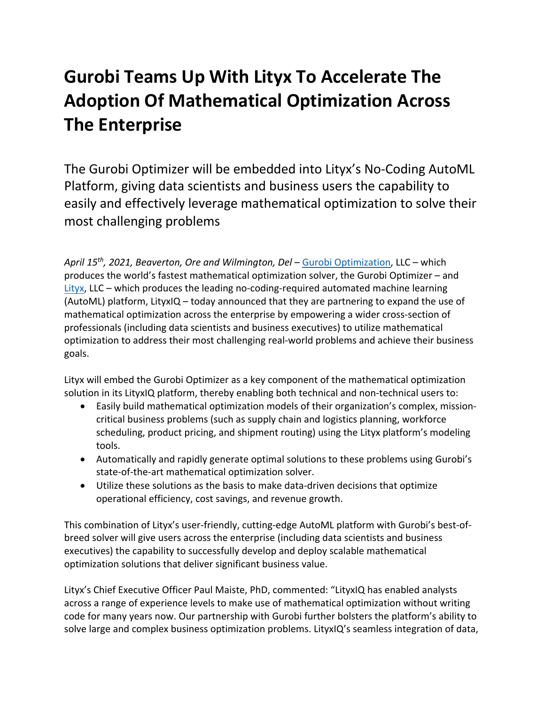# **Gurobi Teams Up With Lityx To Accelerate The Adoption Of Mathematical Optimization Across The Enterprise**

The Gurobi Optimizer will be embedded into Lityx's No-Coding AutoML Platform, giving data scientists and business users the capability to easily and effectively leverage mathematical optimization to solve their most challenging problems

*April 15th, 2021, Beaverton, Ore and Wilmington, Del* – [Gurobi Optimization,](https://www.gurobi.com/) LLC – which produces the world's fastest mathematical optimization solver, the Gurobi Optimizer – and [Lityx,](https://lityx.com/) LLC – which produces the leading no-coding-required automated machine learning (AutoML) platform, LityxIQ – today announced that they are partnering to expand the use of mathematical optimization across the enterprise by empowering a wider cross-section of professionals (including data scientists and business executives) to utilize mathematical optimization to address their most challenging real-world problems and achieve their business goals.

Lityx will embed the Gurobi Optimizer as a key component of the mathematical optimization solution in its LityxIQ platform, thereby enabling both technical and non-technical users to:

- Easily build mathematical optimization models of their organization's complex, missioncritical business problems (such as supply chain and logistics planning, workforce scheduling, product pricing, and shipment routing) using the Lityx platform's modeling tools.
- Automatically and rapidly generate optimal solutions to these problems using Gurobi's state-of-the-art mathematical optimization solver.
- Utilize these solutions as the basis to make data-driven decisions that optimize operational efficiency, cost savings, and revenue growth.

This combination of Lityx's user-friendly, cutting-edge AutoML platform with Gurobi's best-ofbreed solver will give users across the enterprise (including data scientists and business executives) the capability to successfully develop and deploy scalable mathematical optimization solutions that deliver significant business value.

Lityx's Chief Executive Officer Paul Maiste, PhD, commented: "LityxIQ has enabled analysts across a range of experience levels to make use of mathematical optimization without writing code for many years now. Our partnership with Gurobi further bolsters the platform's ability to solve large and complex business optimization problems. LityxIQ's seamless integration of data,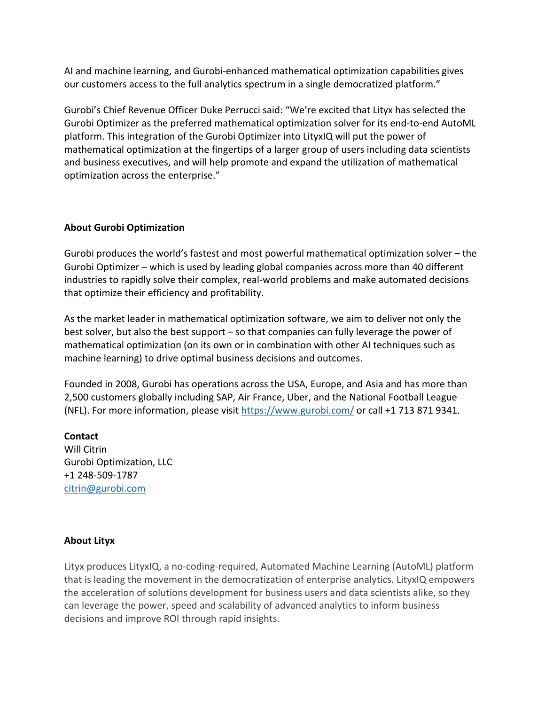AI and machine learning, and Gurobi-enhanced mathematical optimization capabilities gives our customers access to the full analytics spectrum in a single democratized platform."

Gurobi's Chief Revenue Officer Duke Perrucci said: "We're excited that Lityx has selected the Gurobi Optimizer as the preferred mathematical optimization solver for its end-to-end AutoML platform. This integration of the Gurobi Optimizer into LityxIQ will put the power of mathematical optimization at the fingertips of a larger group of users including data scientists and business executives, and will help promote and expand the utilization of mathematical optimization across the enterprise."

#### **About Gurobi Optimization**

Gurobi produces the world's fastest and most powerful mathematical optimization solver – the Gurobi Optimizer – which is used by leading global companies across more than 40 different industries to rapidly solve their complex, real-world problems and make automated decisions that optimize their efficiency and profitability.

As the market leader in mathematical optimization software, we aim to deliver not only the best solver, but also the best support – so that companies can fully leverage the power of mathematical optimization (on its own or in combination with other AI techniques such as machine learning) to drive optimal business decisions and outcomes.

Founded in 2008, Gurobi has operations across the USA, Europe, and Asia and has more than 2,500 customers globally including SAP, Air France, Uber, and the National Football League (NFL). For more information, please visit<https://www.gurobi.com/> or call +1 713 871 9341.

## **Contact**

Will Citrin Gurobi Optimization, LLC +1 248-509-1787 citrin@gurobi.com

### **About Lityx**

Lityx produces LityxIQ, a no-coding-required, Automated Machine Learning (AutoML) platform that is leading the movement in the democratization of enterprise analytics. LityxIQ empowers the acceleration of solutions development for business users and data scientists alike, so they can leverage the power, speed and scalability of advanced analytics to inform business decisions and improve ROI through rapid insights.